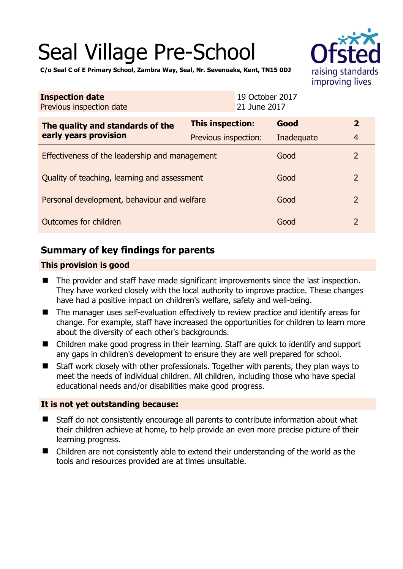# Seal Village Pre-School



**C/o Seal C of E Primary School, Zambra Way, Seal, Nr. Sevenoaks, Kent, TN15 0DJ** 

| <b>Inspection date</b><br>Previous inspection date        |                             | 19 October 2017<br>21 June 2017 |                |
|-----------------------------------------------------------|-----------------------------|---------------------------------|----------------|
| The quality and standards of the<br>early years provision | This inspection:            | Good                            | $\overline{2}$ |
|                                                           | <b>Previous inspection:</b> | Inadequate                      | 4              |
| Effectiveness of the leadership and management            |                             | Good                            | $\mathcal{P}$  |
| Quality of teaching, learning and assessment              | Good                        | $\mathcal{P}$                   |                |
| Personal development, behaviour and welfare               |                             | Good                            | $\mathcal{P}$  |
| Outcomes for children                                     | Good                        | $\mathcal{P}$                   |                |

# **Summary of key findings for parents**

## **This provision is good**

- The provider and staff have made significant improvements since the last inspection. They have worked closely with the local authority to improve practice. These changes have had a positive impact on children's welfare, safety and well-being.
- The manager uses self-evaluation effectively to review practice and identify areas for change. For example, staff have increased the opportunities for children to learn more about the diversity of each other's backgrounds.
- Children make good progress in their learning. Staff are quick to identify and support any gaps in children's development to ensure they are well prepared for school.
- Staff work closely with other professionals. Together with parents, they plan ways to meet the needs of individual children. All children, including those who have special educational needs and/or disabilities make good progress.

## **It is not yet outstanding because:**

- Staff do not consistently encourage all parents to contribute information about what their children achieve at home, to help provide an even more precise picture of their learning progress.
- Children are not consistently able to extend their understanding of the world as the tools and resources provided are at times unsuitable.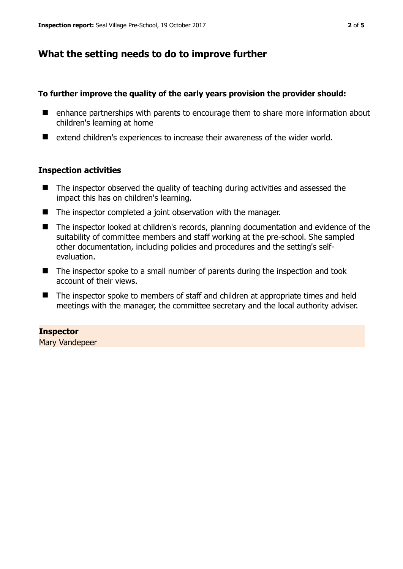# **What the setting needs to do to improve further**

### **To further improve the quality of the early years provision the provider should:**

- enhance partnerships with parents to encourage them to share more information about children's learning at home
- extend children's experiences to increase their awareness of the wider world.

#### **Inspection activities**

- The inspector observed the quality of teaching during activities and assessed the impact this has on children's learning.
- The inspector completed a joint observation with the manager.
- The inspector looked at children's records, planning documentation and evidence of the suitability of committee members and staff working at the pre-school. She sampled other documentation, including policies and procedures and the setting's selfevaluation.
- The inspector spoke to a small number of parents during the inspection and took account of their views.
- The inspector spoke to members of staff and children at appropriate times and held meetings with the manager, the committee secretary and the local authority adviser.

## **Inspector**

Mary Vandepeer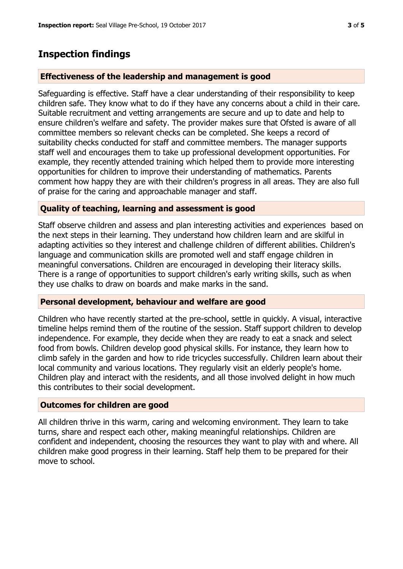## **Inspection findings**

#### **Effectiveness of the leadership and management is good**

Safeguarding is effective. Staff have a clear understanding of their responsibility to keep children safe. They know what to do if they have any concerns about a child in their care. Suitable recruitment and vetting arrangements are secure and up to date and help to ensure children's welfare and safety. The provider makes sure that Ofsted is aware of all committee members so relevant checks can be completed. She keeps a record of suitability checks conducted for staff and committee members. The manager supports staff well and encourages them to take up professional development opportunities. For example, they recently attended training which helped them to provide more interesting opportunities for children to improve their understanding of mathematics. Parents comment how happy they are with their children's progress in all areas. They are also full of praise for the caring and approachable manager and staff.

#### **Quality of teaching, learning and assessment is good**

Staff observe children and assess and plan interesting activities and experiences based on the next steps in their learning. They understand how children learn and are skilful in adapting activities so they interest and challenge children of different abilities. Children's language and communication skills are promoted well and staff engage children in meaningful conversations. Children are encouraged in developing their literacy skills. There is a range of opportunities to support children's early writing skills, such as when they use chalks to draw on boards and make marks in the sand.

#### **Personal development, behaviour and welfare are good**

Children who have recently started at the pre-school, settle in quickly. A visual, interactive timeline helps remind them of the routine of the session. Staff support children to develop independence. For example, they decide when they are ready to eat a snack and select food from bowls. Children develop good physical skills. For instance, they learn how to climb safely in the garden and how to ride tricycles successfully. Children learn about their local community and various locations. They regularly visit an elderly people's home. Children play and interact with the residents, and all those involved delight in how much this contributes to their social development.

#### **Outcomes for children are good**

All children thrive in this warm, caring and welcoming environment. They learn to take turns, share and respect each other, making meaningful relationships. Children are confident and independent, choosing the resources they want to play with and where. All children make good progress in their learning. Staff help them to be prepared for their move to school.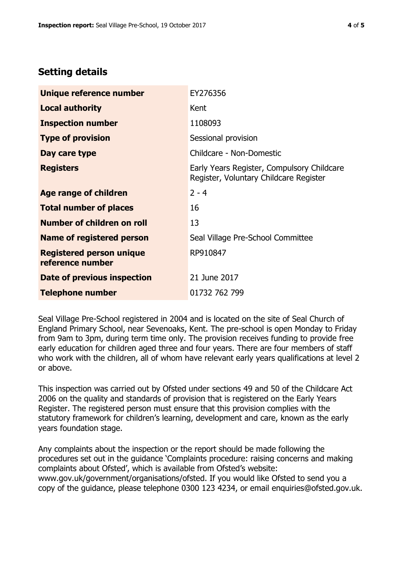# **Setting details**

| Unique reference number                             | EY276356                                                                             |  |
|-----------------------------------------------------|--------------------------------------------------------------------------------------|--|
| <b>Local authority</b>                              | Kent                                                                                 |  |
| <b>Inspection number</b>                            | 1108093                                                                              |  |
| <b>Type of provision</b>                            | Sessional provision                                                                  |  |
| Day care type                                       | Childcare - Non-Domestic                                                             |  |
| <b>Registers</b>                                    | Early Years Register, Compulsory Childcare<br>Register, Voluntary Childcare Register |  |
| Age range of children                               | $2 - 4$                                                                              |  |
| <b>Total number of places</b>                       | 16                                                                                   |  |
| Number of children on roll                          | 13                                                                                   |  |
| Name of registered person                           | Seal Village Pre-School Committee                                                    |  |
| <b>Registered person unique</b><br>reference number | RP910847                                                                             |  |
| Date of previous inspection                         | 21 June 2017                                                                         |  |
| <b>Telephone number</b>                             | 01732 762 799                                                                        |  |

Seal Village Pre-School registered in 2004 and is located on the site of Seal Church of England Primary School, near Sevenoaks, Kent. The pre-school is open Monday to Friday from 9am to 3pm, during term time only. The provision receives funding to provide free early education for children aged three and four years. There are four members of staff who work with the children, all of whom have relevant early years qualifications at level 2 or above.

This inspection was carried out by Ofsted under sections 49 and 50 of the Childcare Act 2006 on the quality and standards of provision that is registered on the Early Years Register. The registered person must ensure that this provision complies with the statutory framework for children's learning, development and care, known as the early years foundation stage.

Any complaints about the inspection or the report should be made following the procedures set out in the guidance 'Complaints procedure: raising concerns and making complaints about Ofsted', which is available from Ofsted's website: www.gov.uk/government/organisations/ofsted. If you would like Ofsted to send you a copy of the guidance, please telephone 0300 123 4234, or email enquiries@ofsted.gov.uk.